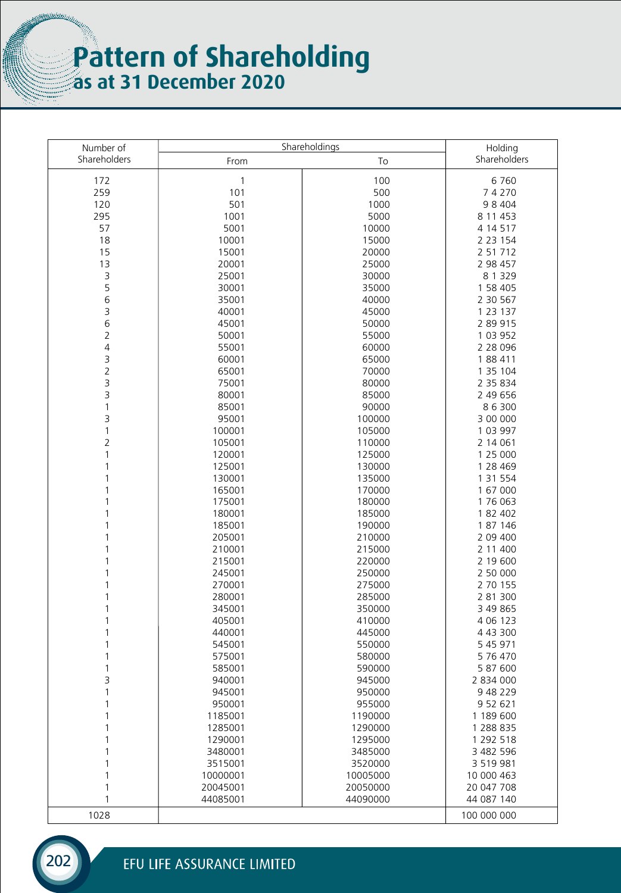## **Pattern of Shareholding as at 31 December 2020**

**Minimality** 

| Number of      |              | Shareholdings | Holding      |
|----------------|--------------|---------------|--------------|
| Shareholders   | From         | To            | Shareholders |
|                |              |               |              |
| 172            | $\mathbf{1}$ | 100           | 6760         |
| 259            | 101          | 500           | 74270        |
| 120            | 501          | 1000          | 98404        |
| 295            | 1001         | 5000          | 8 11 4 53    |
| 57             | 5001         | 10000         | 4 14 5 17    |
| 18             | 10001        | 15000         | 2 2 3 1 5 4  |
| 15             | 15001        | 20000         | 2 51 712     |
| 13             | 20001        | 25000         | 2 98 457     |
| 3              | 25001        | 30000         | 8 1 3 2 9    |
| 5              | 30001        | 35000         | 1 58 405     |
| 6              | 35001        | 40000         | 2 30 567     |
| 3              | 40001        | 45000         | 1 23 1 37    |
| 6              | 45001        | 50000         | 2 89 915     |
| $\overline{2}$ | 50001        | 55000         | 1 03 952     |
| $\overline{4}$ | 55001        | 60000         | 2 28 0 96    |
| 3              | 60001        | 65000         | 188 411      |
| $\overline{2}$ | 65001        | 70000         | 1 35 104     |
| 3              | 75001        | 80000         | 2 35 834     |
| 3              | 80001        | 85000         | 2 49 656     |
| 1              | 85001        | 90000         | 86300        |
| 3              | 95001        | 100000        | 3 00 000     |
|                |              |               |              |
| 1              | 100001       | 105000        | 1 03 997     |
| $\overline{2}$ | 105001       | 110000        | 2 14 0 61    |
| 1              | 120001       | 125000        | 1 25 000     |
|                | 125001       | 130000        | 1 28 4 69    |
|                | 130001       | 135000        | 1 31 554     |
| 1              | 165001       | 170000        | 1 67 000     |
| 1              | 175001       | 180000        | 176 063      |
|                | 180001       | 185000        | 1 82 402     |
| 1              | 185001       | 190000        | 1 87 146     |
| 1              | 205001       | 210000        | 2 09 400     |
| 1              | 210001       | 215000        | 2 11 400     |
|                | 215001       | 220000        | 2 19 600     |
|                | 245001       | 250000        | 2 50 000     |
|                | 270001       | 275000        | 2 70 155     |
| 1              | 280001       | 285000        | 2 81 300     |
| 1              | 345001       | 350000        | 3 49 8 65    |
| 1              | 405001       | 410000        | 4 06 123     |
|                | 440001       | 445000        | 4 43 300     |
|                | 545001       | 550000        | 5 45 971     |
|                | 575001       | 580000        | 5 76 470     |
|                | 585001       | 590000        | 5 87 600     |
| 3              | 940001       | 945000        | 2 834 000    |
|                | 945001       | 950000        | 9 48 2 2 9   |
|                | 950001       | 955000        | 9 52 621     |
|                | 1185001      |               |              |
|                |              | 1190000       | 1 189 600    |
|                | 1285001      | 1290000       | 1 288 835    |
|                | 1290001      | 1295000       | 1 292 518    |
|                | 3480001      | 3485000       | 3 482 596    |
|                | 3515001      | 3520000       | 3 519 981    |
|                | 10000001     | 10005000      | 10 000 463   |
|                | 20045001     | 20050000      | 20 047 708   |
| 1              | 44085001     | 44090000      | 44 087 140   |
| 1028           |              |               | 100 000 000  |